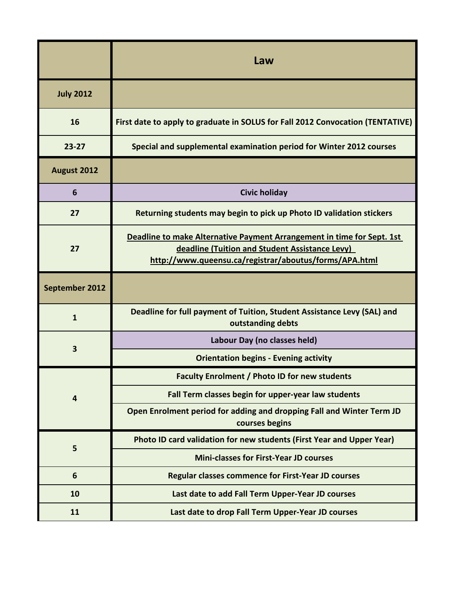|                         | Law                                                                                                                                                                                |
|-------------------------|------------------------------------------------------------------------------------------------------------------------------------------------------------------------------------|
| <b>July 2012</b>        |                                                                                                                                                                                    |
| 16                      | First date to apply to graduate in SOLUS for Fall 2012 Convocation (TENTATIVE)                                                                                                     |
| $23 - 27$               | Special and supplemental examination period for Winter 2012 courses                                                                                                                |
| August 2012             |                                                                                                                                                                                    |
| $6\phantom{1}6$         | <b>Civic holiday</b>                                                                                                                                                               |
| 27                      | Returning students may begin to pick up Photo ID validation stickers                                                                                                               |
| 27                      | Deadline to make Alternative Payment Arrangement in time for Sept. 1st<br>deadline (Tuition and Student Assistance Levy)<br>http://www.queensu.ca/registrar/aboutus/forms/APA.html |
| September 2012          |                                                                                                                                                                                    |
| $\mathbf{1}$            | Deadline for full payment of Tuition, Student Assistance Levy (SAL) and<br>outstanding debts                                                                                       |
| $\overline{\mathbf{3}}$ | Labour Day (no classes held)                                                                                                                                                       |
|                         | <b>Orientation begins - Evening activity</b>                                                                                                                                       |
| $\overline{4}$          | <b>Faculty Enrolment / Photo ID for new students</b>                                                                                                                               |
|                         | Fall Term classes begin for upper-year law students                                                                                                                                |
|                         | Open Enrolment period for adding and dropping Fall and Winter Term JD<br>courses begins                                                                                            |
| 5                       | Photo ID card validation for new students (First Year and Upper Year)                                                                                                              |
|                         | <b>Mini-classes for First-Year JD courses</b>                                                                                                                                      |
| 6                       | <b>Regular classes commence for First-Year JD courses</b>                                                                                                                          |
| 10                      | Last date to add Fall Term Upper-Year JD courses                                                                                                                                   |
| 11                      | Last date to drop Fall Term Upper-Year JD courses                                                                                                                                  |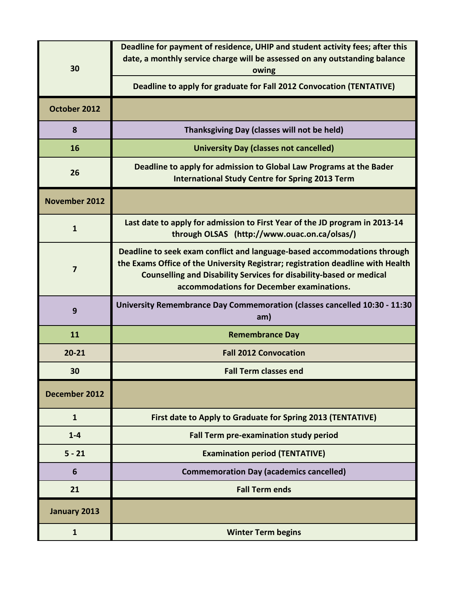| 30                   | Deadline for payment of residence, UHIP and student activity fees; after this<br>date, a monthly service charge will be assessed on any outstanding balance<br>owing                                                                                                                   |
|----------------------|----------------------------------------------------------------------------------------------------------------------------------------------------------------------------------------------------------------------------------------------------------------------------------------|
|                      | Deadline to apply for graduate for Fall 2012 Convocation (TENTATIVE)                                                                                                                                                                                                                   |
| October 2012         |                                                                                                                                                                                                                                                                                        |
| 8                    | Thanksgiving Day (classes will not be held)                                                                                                                                                                                                                                            |
| 16                   | <b>University Day (classes not cancelled)</b>                                                                                                                                                                                                                                          |
| 26                   | Deadline to apply for admission to Global Law Programs at the Bader<br><b>International Study Centre for Spring 2013 Term</b>                                                                                                                                                          |
| <b>November 2012</b> |                                                                                                                                                                                                                                                                                        |
| $\mathbf{1}$         | Last date to apply for admission to First Year of the JD program in 2013-14<br>through OLSAS (http://www.ouac.on.ca/olsas/)                                                                                                                                                            |
| $\overline{7}$       | Deadline to seek exam conflict and language-based accommodations through<br>the Exams Office of the University Registrar; registration deadline with Health<br><b>Counselling and Disability Services for disability-based or medical</b><br>accommodations for December examinations. |
| 9                    | University Remembrance Day Commemoration (classes cancelled 10:30 - 11:30<br>am)                                                                                                                                                                                                       |
| 11                   | <b>Remembrance Day</b>                                                                                                                                                                                                                                                                 |
| $20 - 21$            | <b>Fall 2012 Convocation</b>                                                                                                                                                                                                                                                           |
| 30                   | <b>Fall Term classes end</b>                                                                                                                                                                                                                                                           |
| December 2012        |                                                                                                                                                                                                                                                                                        |
| $\mathbf{1}$         | First date to Apply to Graduate for Spring 2013 (TENTATIVE)                                                                                                                                                                                                                            |
| $1 - 4$              | Fall Term pre-examination study period                                                                                                                                                                                                                                                 |
| $5 - 21$             | <b>Examination period (TENTATIVE)</b>                                                                                                                                                                                                                                                  |
| 6                    | <b>Commemoration Day (academics cancelled)</b>                                                                                                                                                                                                                                         |
| 21                   | <b>Fall Term ends</b>                                                                                                                                                                                                                                                                  |
| January 2013         |                                                                                                                                                                                                                                                                                        |
| $\mathbf{1}$         | <b>Winter Term begins</b>                                                                                                                                                                                                                                                              |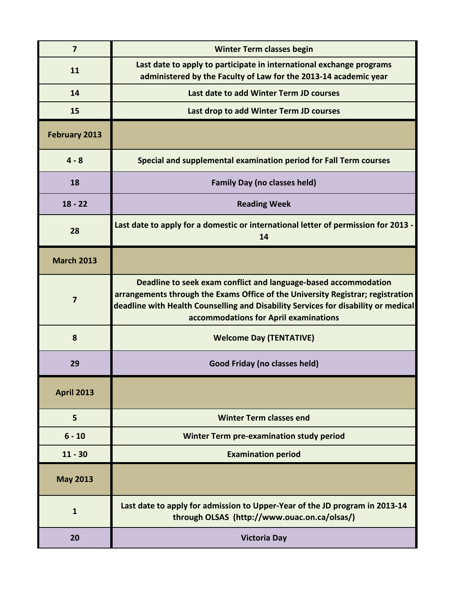| $\overline{7}$          | <b>Winter Term classes begin</b>                                                                                                                                                                                                                                                  |
|-------------------------|-----------------------------------------------------------------------------------------------------------------------------------------------------------------------------------------------------------------------------------------------------------------------------------|
| 11                      | Last date to apply to participate in international exchange programs<br>administered by the Faculty of Law for the 2013-14 academic year                                                                                                                                          |
| 14                      | Last date to add Winter Term JD courses                                                                                                                                                                                                                                           |
| 15                      | Last drop to add Winter Term JD courses                                                                                                                                                                                                                                           |
| February 2013           |                                                                                                                                                                                                                                                                                   |
| $4 - 8$                 | Special and supplemental examination period for Fall Term courses                                                                                                                                                                                                                 |
| 18                      | <b>Family Day (no classes held)</b>                                                                                                                                                                                                                                               |
| $18 - 22$               | <b>Reading Week</b>                                                                                                                                                                                                                                                               |
| 28                      | Last date to apply for a domestic or international letter of permission for 2013 -<br>14                                                                                                                                                                                          |
| <b>March 2013</b>       |                                                                                                                                                                                                                                                                                   |
| $\overline{\mathbf{z}}$ | Deadline to seek exam conflict and language-based accommodation<br>arrangements through the Exams Office of the University Registrar; registration<br>deadline with Health Counselling and Disability Services for disability or medical<br>accommodations for April examinations |
| 8                       | <b>Welcome Day (TENTATIVE)</b>                                                                                                                                                                                                                                                    |
| 29                      | Good Friday (no classes held)                                                                                                                                                                                                                                                     |
| <b>April 2013</b>       |                                                                                                                                                                                                                                                                                   |
| 5                       | <b>Winter Term classes end</b>                                                                                                                                                                                                                                                    |
| $6 - 10$                | Winter Term pre-examination study period                                                                                                                                                                                                                                          |
| $11 - 30$               | <b>Examination period</b>                                                                                                                                                                                                                                                         |
| <b>May 2013</b>         |                                                                                                                                                                                                                                                                                   |
| $\mathbf{1}$            | Last date to apply for admission to Upper-Year of the JD program in 2013-14<br>through OLSAS (http://www.ouac.on.ca/olsas/)                                                                                                                                                       |
| 20                      | <b>Victoria Day</b>                                                                                                                                                                                                                                                               |